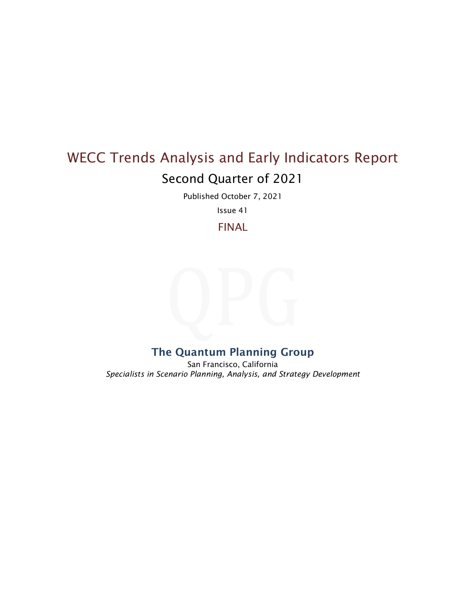# WECC Trends Analysis and Early Indicators Report Second Quarter of 2021

Published October 7, 2021

Issue 41

FINAL

## The Quantum Planning Group

San Francisco, California *Specialists in Scenario Planning, Analysis, and Strategy Development*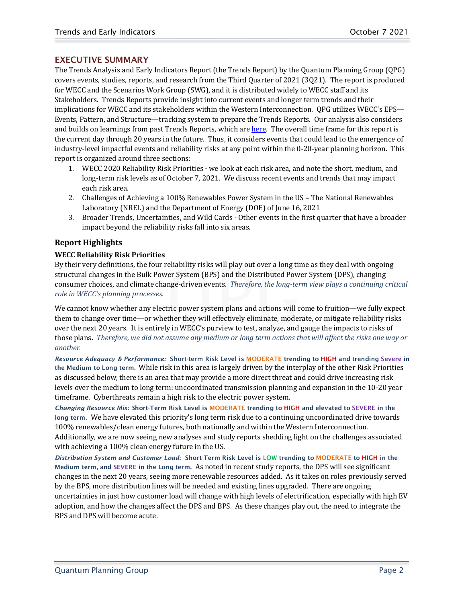## EXECUTIVE SUMMARY

The Trends Analysis and Early Indicators Report (the Trends Report) by the Quantum Planning Group (QPG) covers events, studies, reports, and research from the Third Quarter of 2021 (3Q21). The report is produced for WECC and the Scenarios Work Group (SWG), and it is distributed widely to WECC staff and its Stakeholders. Trends Reports provide insight into current events and longer term trends and their implications for WECC and its stakeholders within the Western Interconnection. QPG utilizes WECC's EPS— Events, Pattern, and Structure—tracking system to prepare the Trends Reports. Our analysis also considers and builds on learnings from past Trends Reports, which are [here.](https://www.wecc.biz/SystemAdequacyPlanning/Pages/Scenario-Planning.aspx) The overall time frame for this report is the current day through 20 years in the future. Thus, it considers events that could lead to the emergence of industry-level impactful events and reliability risks at any point within the 0-20-year planning horizon. This report is organized around three sections:

- 1. WECC 2020 Reliability Risk Priorities we look at each risk area, and note the short, medium, and long-term risk levels as of October 7, 2021. We discuss recent events and trends that may impact each risk area.
- 2. Challenges of Achieving a 100% Renewables Power System in the US The National Renewables Laboratory (NREL) and the Department of Energy (DOE) of June 16, 2021
- 3. Broader Trends, Uncertainties, and Wild Cards Other events in the first quarter that have a broader impact beyond the reliability risks fall into six areas.

## **Report Highlights**

## **WECC Reliability Risk Priorities**

By their very definitions, the four reliability risks will play out over a long time as they deal with ongoing structural changes in the Bulk Power System (BPS) and the Distributed Power System (DPS), changing consumer choices, and climate change-driven events. *Therefore, the long-term view plays a continuing critical role in WECC's planning processes.* 

We cannot know whether any electric power system plans and actions will come to fruition—we fully expect them to change over time—or whether they will effectively eliminate, moderate, or mitigate reliability risks over the next 20 years. It is entirely in WECC's purview to test, analyze, and gauge the impacts to risks of those plans. *Therefore, we did not assume any medium or long term actions that will affect the risks one way or another.*

*Resource Adequacy & Performance:* Short-term Risk Level is MODERATE trending to HIGH and trending Severe in the Medium to Long term. While risk in this area is largely driven by the interplay of the other Risk Priorities as discussed below, there is an area that may provide a more direct threat and could drive increasing risk levels over the medium to long term: uncoordinated transmission planning and expansion in the 10-20 year timeframe. Cyberthreats remain a high risk to the electric power system.

*Changing Resource Mix: S*hort-Term Risk Level is MODERATE trending to HIGH and elevated to SEVERE in the long term. We have elevated this priority's long term risk due to a continuing uncoordinated drive towards 100% renewables/clean energy futures, both nationally and within the Western Interconnection. Additionally, we are now seeing new analyses and study reports shedding light on the challenges associated with achieving a 100% clean energy future in the US.

*Distribution System and Customer Load:* Short-Term Risk Level is LOW trending to MODERATE to HIGH in the Medium term, and SEVERE in the Long term. As noted in recent study reports, the DPS will see significant changes in the next 20 years, seeing more renewable resources added. As it takes on roles previously served by the BPS, more distribution lines will be needed and existing lines upgraded. There are ongoing uncertainties in just how customer load will change with high levels of electrification, especially with high EV adoption, and how the changes affect the DPS and BPS. As these changes play out, the need to integrate the BPS and DPS will become acute.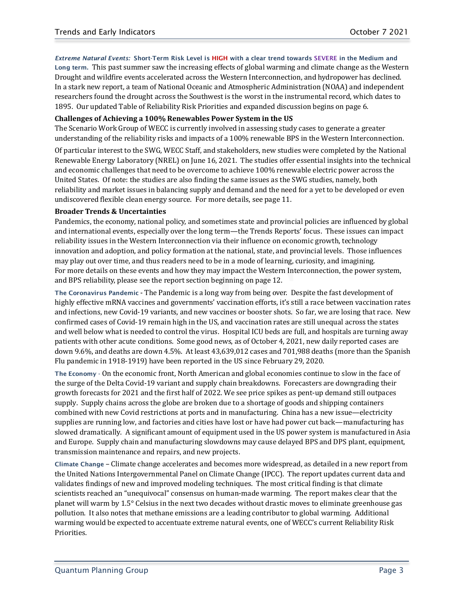*Extreme Natural Events:* Short-Term Risk Level is HIGH with a clear trend towards SEVERE in the Medium and Long term. This past summer saw the increasing effects of global warming and climate change as the Western Drought and wildfire events accelerated across the Western Interconnection, and hydropower has declined. In a stark new report, a team of National Oceanic and Atmospheric Administration (NOAA) and independent researchers found the drought across the Southwest is the worst in the instrumental record, which dates to 1895. Our updated Table of Reliability Risk Priorities and expanded discussion begins on page 6.

#### **Challenges of Achieving a 100% Renewables Power System in the US**

The Scenario Work Group of WECC is currently involved in assessing study cases to generate a greater understanding of the reliability risks and impacts of a 100% renewable BPS in the Western Interconnection.

Of particular interest to the SWG, WECC Staff, and stakeholders, new studies were completed by the National Renewable Energy Laboratory (NREL) on June 16, 2021. The studies offer essential insights into the technical and economic challenges that need to be overcome to achieve 100% renewable electric power across the United States. Of note: the studies are also finding the same issues as the SWG studies, namely, both reliability and market issues in balancing supply and demand and the need for a yet to be developed or even undiscovered flexible clean energy source. For more details, see page 11.

#### **Broader Trends & Uncertainties**

Pandemics, the economy, national policy, and sometimes state and provincial policies are influenced by global and international events, especially over the long term—the Trends Reports' focus. These issues can impact reliability issues in the Western Interconnection via their influence on economic growth, technology innovation and adoption, and policy formation at the national, state, and provincial levels. Those influences may play out over time, and thus readers need to be in a mode of learning, curiosity, and imagining. For more details on these events and how they may impact the Western Interconnection, the power system, and BPS reliability, please see the report section beginning on page 12.

The Coronavirus Pandemic - The Pandemic is a long way from being over. Despite the fast development of highly effective mRNA vaccines and governments' vaccination efforts, it's still a race between vaccination rates and infections, new Covid-19 variants, and new vaccines or booster shots. So far, we are losing that race. New confirmed cases of Covid-19 remain high in the US, and vaccination rates are still unequal across the states and well below what is needed to control the virus. Hospital ICU beds are full, and hospitals are turning away patients with other acute conditions. Some good news, as of October 4, 2021, new daily reported cases are down 9.6%, and deaths are down 4.5%. At least 43,639,012 cases and 701,988 deaths (more than the Spanish Flu pandemic in 1918-1919) have been reported in the US since February 29, 2020.

The Economy - On the economic front, North American and global economies continue to slow in the face of the surge of the Delta Covid-19 variant and supply chain breakdowns. Forecasters are downgrading their growth forecasts for 2021 and the first half of 2022. We see price spikes as pent-up demand still outpaces supply. Supply chains across the globe are broken due to a shortage of goods and shipping containers combined with new Covid restrictions at ports and in manufacturing. China has a new issue—electricity supplies are running low, and factories and cities have lost or have had power cut back—manufacturing has slowed dramatically. A significant amount of equipment used in the US power system is manufactured in Asia and Europe. Supply chain and manufacturing slowdowns may cause delayed BPS and DPS plant, equipment, transmission maintenance and repairs, and new projects.

Climate Change – Climate change accelerates and becomes more widespread, as detailed in a new report from the United Nations Intergovernmental Panel on Climate Change (IPCC). The report updates current data and validates findings of new and improved modeling techniques. The most critical finding is that climate scientists reached an "unequivocal" consensus on human-made warming. The report makes clear that the planet will warm by 1.5° Celsius in the next two decades without drastic moves to eliminate greenhouse gas pollution. It also notes that methane emissions are a leading contributor to global warming. Additional warming would be expected to accentuate extreme natural events, one of WECC's current Reliability Risk Priorities.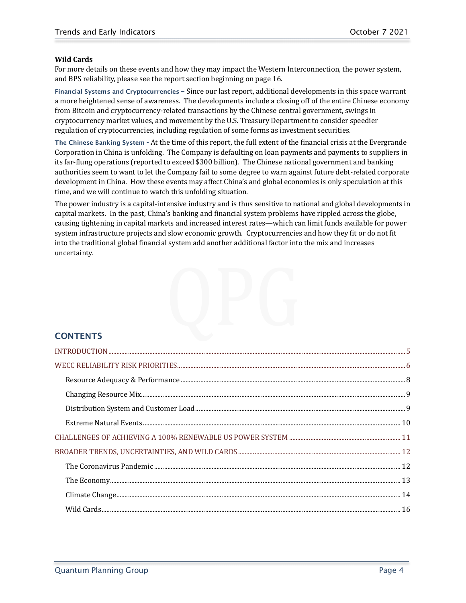## **Wild Cards**

For more details on these events and how they may impact the Western Interconnection, the power system, and BPS reliability, please see the report section beginning on page 16.

Financial Systems and Cryptocurrencies **–** Since our last report, additional developments in this space warrant a more heightened sense of awareness. The developments include a closing off of the entire Chinese economy from Bitcoin and cryptocurrency-related transactions by the Chinese central government, swings in cryptocurrency market values, and movement by the U.S. Treasury Department to consider speedier regulation of cryptocurrencies, including regulation of some forms as investment securities.

The Chinese Banking System **-** At the time of this report, the full extent of the financial crisis at the Evergrande Corporation in China is unfolding. The Company is defaulting on loan payments and payments to suppliers in its far-flung operations (reported to exceed \$300 billion). The Chinese national government and banking authorities seem to want to let the Company fail to some degree to warn against future debt-related corporate development in China. How these events may affect China's and global economies is only speculation at this time, and we will continue to watch this unfolding situation.

The power industry is a capital-intensive industry and is thus sensitive to national and global developments in capital markets. In the past, China's banking and financial system problems have rippled across the globe, causing tightening in capital markets and increased interest rates—which can limit funds available for power system infrastructure projects and slow economic growth. Cryptocurrencies and how they fit or do not fit into the traditional global financial system add another additional factor into the mix and increases uncertainty.

## **CONTENTS**

<span id="page-3-0"></span>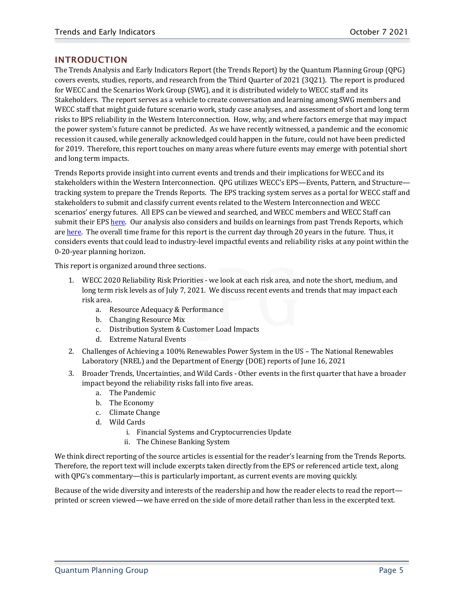## INTRODUCTION

The Trends Analysis and Early Indicators Report (the Trends Report) by the Quantum Planning Group (QPG) covers events, studies, reports, and research from the Third Quarter of 2021 (3Q21). The report is produced for WECC and the Scenarios Work Group (SWG), and it is distributed widely to WECC staff and its Stakeholders. The report serves as a vehicle to create conversation and learning among SWG members and WECC staff that might guide future scenario work, study case analyses, and assessment of short and long term risks to BPS reliability in the Western Interconnection. How, why, and where factors emerge that may impact the power system's future cannot be predicted. As we have recently witnessed, a pandemic and the economic recession it caused, while generally acknowledged could happen in the future, could not have been predicted for 2019. Therefore, this report touches on many areas where future events may emerge with potential short and long term impacts.

Trends Reports provide insight into current events and trends and their implications for WECC and its stakeholders within the Western Interconnection. QPG utilizes WECC's EPS—Events, Pattern, and Structure tracking system to prepare the Trends Reports. The EPS tracking system serves as a portal for WECC staff and stakeholders to submit and classify current events related to the Western Interconnection and WECC scenarios' energy futures. All EPS can be viewed and searched, and WECC members and WECC Staff can submit their EP[S here.](https://www.wecc.org/SystemAdequacyPlanning/Pages/Scenario-Planning.aspx) Our analysis also considers and builds on learnings from past Trends Reports, which are [here.](https://www.wecc.biz/SystemAdequacyPlanning/Pages/Scenario-Planning.aspx) The overall time frame for this report is the current day through 20 years in the future. Thus, it considers events that could lead to industry-level impactful events and reliability risks at any point within the 0-20-year planning horizon.

This report is organized around three sections.

- 1. WECC 2020 Reliability Risk Priorities we look at each risk area, and note the short, medium, and long term risk levels as of July 7, 2021. We discuss recent events and trends that may impact each risk area.
	- a. Resource Adequacy & Performance
	- b. Changing Resource Mix
	- c. Distribution System & Customer Load Impacts
	- d. Extreme Natural Events
- 2. Challenges of Achieving a 100% Renewables Power System in the US The National Renewables Laboratory (NREL) and the Department of Energy (DOE) reports of June 16, 2021
- 3. Broader Trends, Uncertainties, and Wild Cards Other events in the first quarter that have a broader impact beyond the reliability risks fall into five areas.
	- a. The Pandemic
	- b. The Economy
	- c. Climate Change
	- d. Wild Cards
		- i. Financial Systems and Cryptocurrencies Update
		- ii. The Chinese Banking System

We think direct reporting of the source articles is essential for the reader's learning from the Trends Reports. Therefore, the report text will include excerpts taken directly from the EPS or referenced article text, along with QPG's commentary—this is particularly important, as current events are moving quickly.

<span id="page-4-0"></span>Because of the wide diversity and interests of the readership and how the reader elects to read the report printed or screen viewed—we have erred on the side of more detail rather than less in the excerpted text.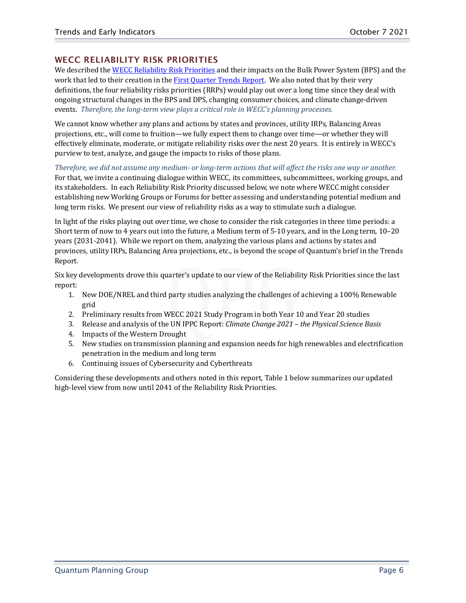## WECC RELIABILITY RISK PRIORITIES

We described the [WECC Reliability Risk Priorities](https://www.wecc.org/Pages/Strategy.aspx) and their impacts on the Bulk Power System (BPS) and the work that led to their creation in the [First Quarter Trends Report.](https://www.wecc.org/Reliability/Trends%20Rpt%201QTR21%20FINAL_13Apr21.pdf) We also noted that by their very definitions, the four reliability risks priorities (RRPs) would play out over a long time since they deal with ongoing structural changes in the BPS and DPS, changing consumer choices, and climate change-driven events. *Therefore, the long-term view plays a critical role in WECC's planning processes.*

We cannot know whether any plans and actions by states and provinces, utility IRPs, Balancing Areas projections, etc., will come to fruition—we fully expect them to change over time—or whether they will effectively eliminate, moderate, or mitigate reliability risks over the next 20 years. It is entirely in WECC's purview to test, analyze, and gauge the impacts to risks of those plans.

## *Therefore, we did not assume any medium- or long-term actions that will affect the risks one way or another.*

For that, we invite a continuing dialogue within WECC, its committees, subcommittees, working groups, and its stakeholders. In each Reliability Risk Priority discussed below, we note where WECC might consider establishing new Working Groups or Forums for better assessing and understanding potential medium and long term risks. We present our view of reliability risks as a way to stimulate such a dialogue.

In light of the risks playing out over time, we chose to consider the risk categories in three time periods: a Short term of now to 4 years out into the future, a Medium term of 5-10 years, and in the Long term, 10–20 years (2031-2041). While we report on them, analyzing the various plans and actions by states and provinces, utility IRPs, Balancing Area projections, etc., is beyond the scope of Quantum's brief in the Trends Report.

Six key developments drove this quarter's update to our view of the Reliability Risk Priorities since the last report:

- 1. New DOE/NREL and third party studies analyzing the challenges of achieving a 100% Renewable grid
- 2. Preliminary results from WECC 2021 Study Program in both Year 10 and Year 20 studies
- 3. Release and analysis of the UN IPPC Report: *Climate Change 2021 – the Physical Science Basis*
- 4. Impacts of the Western Drought
- 5. New studies on transmission planning and expansion needs for high renewables and electrification penetration in the medium and long term
- 6. Continuing issues of Cybersecurity and Cyberthreats

Considering these developments and others noted in this report, Table 1 below summarizes our updated high-level view from now until 2041 of the Reliability Risk Priorities.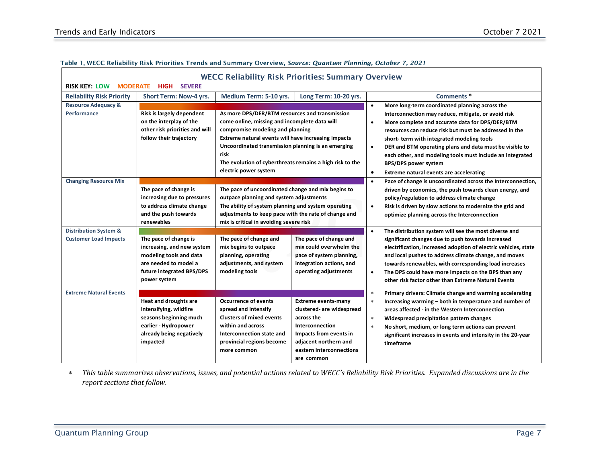| <b>RISK KEY: LOW</b><br><b>MODERATE</b>                          | <b>SEVERE</b><br>HIGH                                                                                                                                | <b>WECC Reliability Risk Priorities: Summary Overview</b>                                                                                                                                                                                                                                                                                                                                                                                                                                                                                                                                                |                                                                                                                                                                                       |                                                                                                                                                                                                                                                                                                                                                                                                                                                                                                                       |
|------------------------------------------------------------------|------------------------------------------------------------------------------------------------------------------------------------------------------|----------------------------------------------------------------------------------------------------------------------------------------------------------------------------------------------------------------------------------------------------------------------------------------------------------------------------------------------------------------------------------------------------------------------------------------------------------------------------------------------------------------------------------------------------------------------------------------------------------|---------------------------------------------------------------------------------------------------------------------------------------------------------------------------------------|-----------------------------------------------------------------------------------------------------------------------------------------------------------------------------------------------------------------------------------------------------------------------------------------------------------------------------------------------------------------------------------------------------------------------------------------------------------------------------------------------------------------------|
| <b>Reliability Risk Priority</b>                                 | <b>Short Term: Now-4 yrs.</b>                                                                                                                        | Medium Term: 5-10 yrs.                                                                                                                                                                                                                                                                                                                                                                                                                                                                                                                                                                                   | Long Term: 10-20 yrs.                                                                                                                                                                 | Comments <sup>*</sup>                                                                                                                                                                                                                                                                                                                                                                                                                                                                                                 |
| <b>Resource Adequacy &amp;</b><br><b>Performance</b>             | Risk is largely dependent<br>on the interplay of the<br>other risk priorities and will<br>follow their trajectory                                    | As more DPS/DER/BTM resources and transmission<br>come online, missing and incomplete data will<br>compromise modeling and planning<br>Extreme natural events will have increasing impacts<br>Uncoordinated transmission planning is an emerging<br>risk<br>The evolution of cyberthreats remains a high risk to the<br>electric power system<br>The pace of uncoordinated change and mix begins to<br>outpace planning and system adjustments<br>The ability of system planning and system operating<br>adjustments to keep pace with the rate of change and<br>mix is critical in avoiding severe risk |                                                                                                                                                                                       | More long-term coordinated planning across the<br>$\bullet$<br>Interconnection may reduce, mitigate, or avoid risk<br>More complete and accurate data for DPS/DER/BTM<br>$\bullet$<br>resources can reduce risk but must be addressed in the<br>short-term with integrated modeling tools<br>DER and BTM operating plans and data must be visible to<br>$\bullet$<br>each other, and modeling tools must include an integrated<br><b>BPS/DPS power system</b><br>Extreme natural events are accelerating<br>$\bullet$ |
| <b>Changing Resource Mix</b>                                     | The pace of change is<br>increasing due to pressures<br>to address climate change<br>and the push towards<br>renewables                              |                                                                                                                                                                                                                                                                                                                                                                                                                                                                                                                                                                                                          |                                                                                                                                                                                       | Pace of change is uncoordinated across the Interconnection,<br>$\bullet$<br>driven by economics, the push towards clean energy, and<br>policy/regulation to address climate change<br>Risk is driven by slow actions to modernize the grid and<br>$\bullet$<br>optimize planning across the Interconnection                                                                                                                                                                                                           |
| <b>Distribution System &amp;</b><br><b>Customer Load Impacts</b> | The pace of change is<br>increasing, and new system<br>modeling tools and data<br>are needed to model a<br>future integrated BPS/DPS<br>power system | The pace of change and<br>mix begins to outpace<br>planning, operating<br>adjustments, and system<br>modeling tools                                                                                                                                                                                                                                                                                                                                                                                                                                                                                      | The pace of change and<br>mix could overwhelm the<br>pace of system planning,<br>integration actions, and<br>operating adjustments                                                    | The distribution system will see the most diverse and<br>$\bullet$<br>significant changes due to push towards increased<br>electrification, increased adoption of electric vehicles, state<br>and local pushes to address climate change, and moves<br>towards renewables, with corresponding load increases<br>The DPS could have more impacts on the BPS than any<br>$\bullet$<br>other risk factor other than Extreme Natural Events                                                                               |
| <b>Extreme Natural Events</b>                                    | <b>Heat and droughts are</b><br>intensifying, wildfire<br>seasons beginning much<br>earlier - Hydropower<br>already being negatively<br>impacted     | <b>Occurrence of events</b><br>spread and intensify<br><b>Clusters of mixed events</b><br>within and across<br>Interconnection state and<br>provincial regions become<br>more common                                                                                                                                                                                                                                                                                                                                                                                                                     | <b>Extreme events-many</b><br>clustered- are widespread<br>across the<br>Interconnection<br>Impacts from events in<br>adjacent northern and<br>eastern interconnections<br>are common | $\ast$<br>Primary drivers: Climate change and warming accelerating<br>Increasing warming - both in temperature and number of<br>$\ast$<br>areas affected - in the Western Interconnection<br>Widespread precipitation pattern changes<br>$\ast$<br>$\ast$<br>No short, medium, or long term actions can prevent<br>significant increases in events and intensity in the 20-year<br>timeframe                                                                                                                          |

#### Table 1, WECC Reliability Risk Priorities Trends and Summary Overview, *Source: Quantum Planning, October 7, 2021*

∗ *This table summarizes observations, issues, and potential actions related to WECC's Reliability Risk Priorities. Expanded discussions are in the report sections that follow.*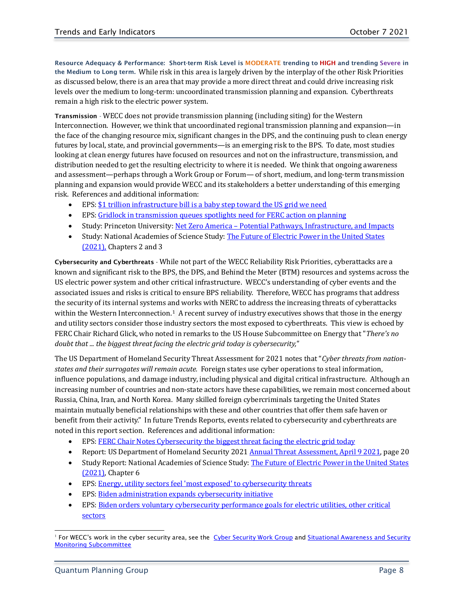<span id="page-7-0"></span>Resource Adequacy & Performance:Short-term Risk Level is MODERATE trending to HIGH and trending Severe in the Medium to Long term. While risk in this area is largely driven by the interplay of the other Risk Priorities as discussed below, there is an area that may provide a more direct threat and could drive increasing risk levels over the medium to long-term: uncoordinated transmission planning and expansion. Cyberthreats remain a high risk to the electric power system.

Transmission - WECC does not provide transmission planning (including siting) for the Western Interconnection. However, we think that uncoordinated regional transmission planning and expansion—in the face of the changing resource mix, significant changes in the DPS, and the continuing push to clean energy futures by local, state, and provincial governments—is an emerging risk to the BPS. To date, most studies looking at clean energy futures have focused on resources and not on the infrastructure, transmission, and distribution needed to get the resulting electricity to where it is needed. We think that ongoing awareness and assessment—perhaps through a Work Group or Forum— of short, medium, and long-term transmission planning and expansion would provide WECC and its stakeholders a better understanding of this emerging risk. References and additional information:

- EPS[: \\$1 trillion infrastructure bill is a baby step toward the US grid we need](https://www.wecc.org/SystemAdequacyPlanning/_layouts/15/listform.aspx?PageType=4&ListId=%7B89ACA637%2DB651%2D4815%2DBD86%2DCC41C9EFBB70%7D&ID=950&ContentTypeID=0x0100723A927F419C5D49A20E471A32F3AE89)
- EPS[: Gridlock in transmission queues spotlights need for FERC action on planning](https://www.wecc.org/SystemAdequacyPlanning/_layouts/15/listform.aspx?PageType=4&ListId=%7B89ACA637%2DB651%2D4815%2DBD86%2DCC41C9EFBB70%7D&ID=930&ContentTypeID=0x0100723A927F419C5D49A20E471A32F3AE89)
- Study: Princeton University: Net Zero America [Potential Pathways, Infrastructure, and Impacts](https://www.google.com/url?sa=t&rct=j&q=&esrc=s&source=web&cd=&cad=rja&uact=8&ved=2ahUKEwj-3Jr0mqrzAhXxNX0KHaSMC_QQFnoECAgQAQ&url=https%3A%2F%2Fnetzeroamerica.princeton.edu%2F&usg=AOvVaw3XIoia-c46tNFck4rAlxyy)
- Study: National Academies of Science Study: The Future of Electric Power in the United States [\(2021\),](http://nap.edu/25968) Chapters 2 and 3

Cybersecurity and Cyberthreats - While not part of the WECC Reliability Risk Priorities, cyberattacks are a known and significant risk to the BPS, the DPS, and Behind the Meter (BTM) resources and systems across the US electric power system and other critical infrastructure. WECC's understanding of cyber events and the associated issues and risks is critical to ensure BPS reliability. Therefore, WECC has programs that address the security of its internal systems and works with NERC to address the increasing threats of cyberattacks within the Western Interconnection.<sup>[1](#page-7-1)</sup> A recent survey of industry executives shows that those in the energy and utility sectors consider those industry sectors the most exposed to cyberthreats. This view is echoed by FERC Chair Richard Glick, who noted in remarks to the US House Subcommittee on Energy that "*There's no doubt that ... the biggest threat facing the electric grid today is cybersecurity,"*

The US Department of Homeland Security Threat Assessment for 2021 notes that "*Cyber threats from nationstates and their surrogates will remain acute.* Foreign states use cyber operations to steal information, influence populations, and damage industry, including physical and digital critical infrastructure. Although an increasing number of countries and non-state actors have these capabilities, we remain most concerned about Russia, China, Iran, and North Korea. Many skilled foreign cybercriminals targeting the United States maintain mutually beneficial relationships with these and other countries that offer them safe haven or benefit from their activity." In future Trends Reports, events related to cybersecurity and cyberthreats are noted in this report section. References and additional information:

- EPS[: FERC Chair Notes Cybersecurity the biggest threat facing the electric grid today](https://www.wecc.org/SystemAdequacyPlanning/_layouts/15/listform.aspx?PageType=4&ListId=%7B89ACA637%2DB651%2D4815%2DBD86%2DCC41C9EFBB70%7D&ID=941&ContentTypeID=0x0100723A927F419C5D49A20E471A32F3AE89)
- Report: US Department of Homeland Security 2021 Annual Threat Assessment, April 9 2021, page 20
- Study Report: National Academies of Science Study: The Future of Electric Power in the United States [\(2021\),](http://nap.edu/25968) Chapter 6
- EPS: Energy, utility sectors feel ['most exposed' to cybersecurity threats](https://www.wecc.org/SystemAdequacyPlanning/_layouts/15/listform.aspx?PageType=4&ListId=%7B89ACA637%2DB651%2D4815%2DBD86%2DCC41C9EFBB70%7D&ID=987&ContentTypeID=0x0100723A927F419C5D49A20E471A32F3AE89)
- EPS[: Biden administration expands cybersecurity initiative](https://www.wecc.org/SystemAdequacyPlanning/_layouts/15/listform.aspx?PageType=4&ListId=%7B89ACA637%2DB651%2D4815%2DBD86%2DCC41C9EFBB70%7D&ID=980&ContentTypeID=0x0100723A927F419C5D49A20E471A32F3AE89)
- EPS[: Biden orders voluntary cybersecurity performance goals for electric utilities, other critical](https://www.wecc.org/SystemAdequacyPlanning/_layouts/15/listform.aspx?PageType=4&ListId=%7B89ACA637%2DB651%2D4815%2DBD86%2DCC41C9EFBB70%7D&ID=942&ContentTypeID=0x0100723A927F419C5D49A20E471A32F3AE89)  [sectors](https://www.wecc.org/SystemAdequacyPlanning/_layouts/15/listform.aspx?PageType=4&ListId=%7B89ACA637%2DB651%2D4815%2DBD86%2DCC41C9EFBB70%7D&ID=942&ContentTypeID=0x0100723A927F419C5D49A20E471A32F3AE89)

<span id="page-7-1"></span><sup>&</sup>lt;sup>1</sup> For WECC's work in the cyber security area, see the [Cyber Security Work Group](https://www.wecc.org/oc/Pages/CSWG.aspx) and Situational Awareness and Security [Monitoring Subcommittee](https://www.wecc.org/OC/Pages/CIIMS.aspx)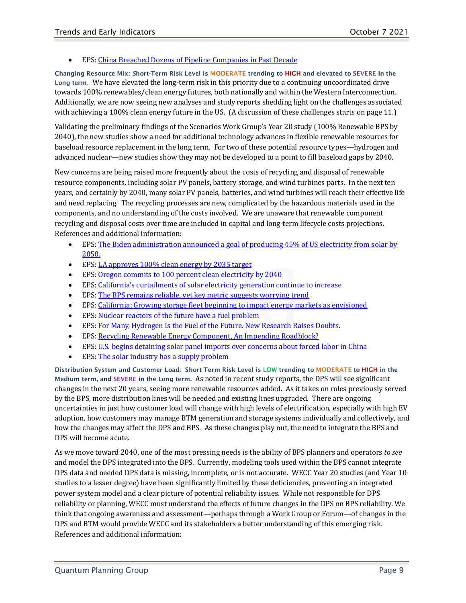#### • EPS[: China Breached Dozens of Pipeline Companies in Past Decade](https://www.wecc.org/SystemAdequacyPlanning/_layouts/15/listform.aspx?PageType=4&ListId=%7B89ACA637%2DB651%2D4815%2DBD86%2DCC41C9EFBB70%7D&ID=933&ContentTypeID=0x0100723A927F419C5D49A20E471A32F3AE89)

<span id="page-8-0"></span>Changing Resource Mix*: S*hort-Term Risk Level is MODERATE trending to HIGH and elevated to SEVERE in the Long term. We have elevated the long-term risk in this priority due to a continuing uncoordinated drive towards 100% renewables/clean energy futures, both nationally and within the Western Interconnection. Additionally, we are now seeing new analyses and study reports shedding light on the challenges associated with achieving a 100% clean energy future in the US. (A discussion of these challenges starts on page 11.)

Validating the preliminary findings of the Scenarios Work Group's Year 20 study (100% Renewable BPS by 2040), the new studies show a need for additional technology advances in flexible renewable resources for baseload resource replacement in the long term. For two of these potential resource types—hydrogen and advanced nuclear—new studies show they may not be developed to a point to fill baseload gaps by 2040.

New concerns are being raised more frequently about the costs of recycling and disposal of renewable resource components, including solar PV panels, battery storage, and wind turbines parts. In the next ten years, and certainly by 2040, many solar PV panels, batteries, and wind turbines will reach their effective life and need replacing. The recycling processes are new, complicated by the hazardous materials used in the components, and no understanding of the costs involved. We are unaware that renewable component recycling and disposal costs over time are included in capital and long-term lifecycle costs projections. References and additional information:

- EPS: The Biden administration announced a goal of producing 45% of US electricity from solar by [2050.](https://www.wecc.org/SystemAdequacyPlanning/_layouts/15/listform.aspx?PageType=4&ListId=%7B89ACA637%2DB651%2D4815%2DBD86%2DCC41C9EFBB70%7D&ID=986&ContentTypeID=0x0100723A927F419C5D49A20E471A32F3AE89)
- EPS[: LA approves 100% clean energy by 2035 target](https://www.wecc.org/SystemAdequacyPlanning/_layouts/15/listform.aspx?PageType=4&ListId=%7B89ACA637%2DB651%2D4815%2DBD86%2DCC41C9EFBB70%7D&ID=984&ContentTypeID=0x0100723A927F419C5D49A20E471A32F3AE89)
- EPS: [Oregon commits to 100 percent clean electricity by 2040](https://www.wecc.org/SystemAdequacyPlanning/_layouts/15/listform.aspx?PageType=4&ListId=%7B89ACA637%2DB651%2D4815%2DBD86%2DCC41C9EFBB70%7D&ID=939&ContentTypeID=0x0100723A927F419C5D49A20E471A32F3AE89)
- EPS[: California's curtailments of solar electricity generation continue to increase](https://www.wecc.org/SystemAdequacyPlanning/_layouts/15/listform.aspx?PageType=4&ListId=%7B89ACA637%2DB651%2D4815%2DBD86%2DCC41C9EFBB70%7D&ID=965&ContentTypeID=0x0100723A927F419C5D49A20E471A32F3AE89)
- EPS[: The BPS remains reliable, yet key metric suggests worrying trend](https://www.wecc.org/SystemAdequacyPlanning/_layouts/15/listform.aspx?PageType=4&ListId=%7B89ACA637%2DB651%2D4815%2DBD86%2DCC41C9EFBB70%7D&ID=960&ContentTypeID=0x0100723A927F419C5D49A20E471A32F3AE89)
- EPS[: California: Growing storage fleet beginning to impact energy markets as envisioned](https://www.wecc.org/SystemAdequacyPlanning/_layouts/15/listform.aspx?PageType=4&ListId=%7B89ACA637%2DB651%2D4815%2DBD86%2DCC41C9EFBB70%7D&ID=981&ContentTypeID=0x0100723A927F419C5D49A20E471A32F3AE89)
- EPS[: Nuclear reactors of the future have a fuel problem](https://www.wecc.org/SystemAdequacyPlanning/_layouts/15/listform.aspx?PageType=4&ListId=%7B89ACA637%2DB651%2D4815%2DBD86%2DCC41C9EFBB70%7D&ID=979&ContentTypeID=0x0100723A927F419C5D49A20E471A32F3AE89)
- EPS[: For Many, Hydrogen Is the Fuel of the Future. New Research Raises Doubts.](https://www.wecc.org/SystemAdequacyPlanning/_layouts/15/listform.aspx?PageType=4&ListId=%7B89ACA637%2DB651%2D4815%2DBD86%2DCC41C9EFBB70%7D&ID=955&ContentTypeID=0x0100723A927F419C5D49A20E471A32F3AE89)
- EPS: Recycling Renewable Energy Component, An Impending Roadblock?
- EPS[: U.S. begins detaining solar panel imports over concerns about forced labor in China](https://www.wecc.org/SystemAdequacyPlanning/_layouts/15/listform.aspx?PageType=4&ListId=%7B89ACA637%2DB651%2D4815%2DBD86%2DCC41C9EFBB70%7D&ID=962&ContentTypeID=0x0100723A927F419C5D49A20E471A32F3AE89)
- EPS[: The solar industry has a supply problem](https://www.wecc.org/SystemAdequacyPlanning/_layouts/15/listform.aspx?PageType=4&ListId=%7B89ACA637%2DB651%2D4815%2DBD86%2DCC41C9EFBB70%7D&ID=947&ContentTypeID=0x0100723A927F419C5D49A20E471A32F3AE89)

<span id="page-8-1"></span>Distribution System and Customer Load:Short-Term Risk Level is LOW trending to MODERATE to HIGH in the Medium term, and SEVERE in the Long term. As noted in recent study reports, the DPS will see significant changes in the next 20 years, seeing more renewable resources added. As it takes on roles previously served by the BPS, more distribution lines will be needed and existing lines upgraded. There are ongoing uncertainties in just how customer load will change with high levels of electrification, especially with high EV adoption, how customers may manage BTM generation and storage systems individually and collectively, and how the changes may affect the DPS and BPS. As these changes play out, the need to integrate the BPS and DPS will become acute.

As we move toward 2040, one of the most pressing needs is the ability of BPS planners and operators *to see* and model the DPS integrated into the BPS. Currently, modeling tools used within the BPS cannot integrate DPS data and needed DPS data is missing, incomplete, or is not accurate. WECC Year 20 studies (and Year 10 studies to a lesser degree) have been significantly limited by these deficiencies, preventing an integrated power system model and a clear picture of potential reliability issues. While not responsible for DPS reliability or planning, WECC must understand the effects of future changes in the DPS on BPS reliability. We think that ongoing awareness and assessment—perhaps through a Work Group or Forum—of changes in the DPS and BTM would provide WECC and its stakeholders a better understanding of this emerging risk. References and additional information: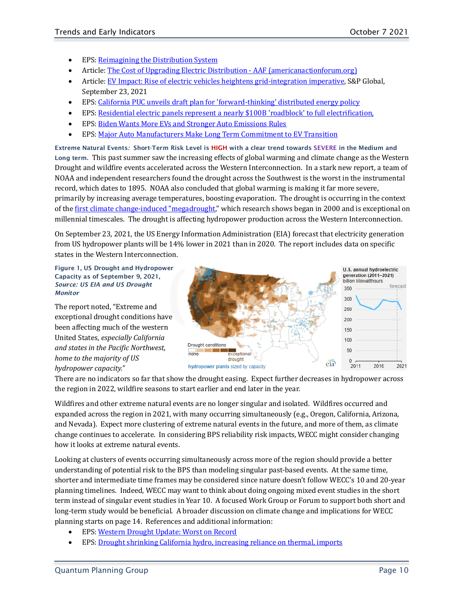- EPS[: Reimagining the Distribution System](https://www.wecc.org/SystemAdequacyPlanning/_layouts/15/listform.aspx?PageType=4&ListId=%7B89ACA637%2DB651%2D4815%2DBD86%2DCC41C9EFBB70%7D&ID=977&ContentTypeID=0x0100723A927F419C5D49A20E471A32F3AE89)
- Article[: The Cost of Upgrading Electric Distribution -](https://www.americanactionforum.org/research/the-cost-of-upgrading-electric-distribution/) AAF (americanactionforum.org)
- Article[: EV Impact: Rise of electric vehicles heightens grid-integration imperative,](file:///C:%5C1.%20Working%20Files%5CDropbox%5C1.%20My%20Working%20Files%5C1.%20WECC%20Projects%5C1%20WECC%202015-2019%20Project%5C2.%20Work%20Product%5C1.%20Reports%20to%20SPSG%5COngoing%20Monthly%20EPS-EI-TRENDS%20Report%20to%20SPSG%5C3Q21%20Drafts%5CEV%20Impact:%20Rise%20of%20electric%20vehicles%20heightens%20grid-integration%20imperative%20|%20S&P%20Global%20Market%20Intelligence%20(spglobal.com)) S&P Global, September 23, 2021
- EPS: California PUC unveils draft plan for ['forward-thinking' distributed energy policy](https://www.wecc.org/SystemAdequacyPlanning/_layouts/15/listform.aspx?PageType=4&ListId=%7B89ACA637%2DB651%2D4815%2DBD86%2DCC41C9EFBB70%7D&ID=938&ContentTypeID=0x0100723A927F419C5D49A20E471A32F3AE89)
- EPS[: Residential electric panels represent a nearly \\$100B](https://www.wecc.org/SystemAdequacyPlanning/_layouts/15/listform.aspx?PageType=4&ListId=%7B89ACA637%2DB651%2D4815%2DBD86%2DCC41C9EFBB70%7D&ID=982&ContentTypeID=0x0100723A927F419C5D49A20E471A32F3AE89) 'roadblock' to full electrification,
- EPS[: Biden Wants More EVs and Stronger Auto Emissions Rules](https://www.wecc.org/SystemAdequacyPlanning/_layouts/15/listform.aspx?PageType=4&ListId=%7B89ACA637%2DB651%2D4815%2DBD86%2DCC41C9EFBB70%7D&ID=951&ContentTypeID=0x0100723A927F419C5D49A20E471A32F3AE89)
- EPS[: Major Auto Manufacturers Make Long Term Commitment to EV Transition](https://www.wecc.org/SystemAdequacyPlanning/_layouts/15/listform.aspx?PageType=4&ListId=%7B89ACA637%2DB651%2D4815%2DBD86%2DCC41C9EFBB70%7D&ID=966&ContentTypeID=0x0100723A927F419C5D49A20E471A32F3AE89)

<span id="page-9-0"></span>Extreme Natural Events*:* Short-Term Risk Level is HIGH with a clear trend towards SEVERE in the Medium and Long term. This past summer saw the increasing effects of global warming and climate change as the Western Drought and wildfire events accelerated across the Western Interconnection. In a stark new report, a team of NOAA and independent researchers found the drought across the Southwest is the worst in the instrumental record, which dates to 1895. NOAA also concluded that global warming is making it far more severe, primarily by increasing average temperatures, boosting evaporation. The drought is occurring in the context of the [first climate change-induced "megadrought,"](https://link.axios.com/click/25121540.51765/aHR0cHM6Ly93d3cud2FzaGluZ3RvbnBvc3QuY29tL3dlYXRoZXIvMjAyMC8wNC8xNi9zb3V0aHdlc3QtbWVnYWRyb3VnaHQtY2xpbWF0ZS1jaGFuZ2UvP3V0bV9zb3VyY2U9bmV3c2xldHRlciZ1dG1fbWVkaXVtPWVtYWlsJnV0bV9jYW1wYWlnbj1uZXdzbGV0dGVyX2F4aW9zZ2VuZXJhdGUmc3RyZWFtPXRvcA/611d0d939c6c122a5f58dd1bB2712d91d) which research shows began in 2000 and is exceptional on millennial timescales. The drought is affecting hydropower production across the Western Interconnection.

On September 23, 2021, the US Energy Information Administration (EIA) forecast that electricity generation from US hydropower plants will be 14% lower in 2021 than in 2020. The report includes data on specific states in the Western Interconnection.

Figure 1, US Drought and Hydropower Capacity as of September 9, 2021, *Source: US EIA and US Drought Monitor*

The report noted, "Extreme and exceptional drought conditions have been affecting much of the western United States, *especially California and states in the Pacific Northwest, home to the majority of US hydropower capacity."*



There are no indicators so far that show the drought easing. Expect further decreases in hydropower across the region in 2022, wildfire seasons to start earlier and end later in the year.

Wildfires and other extreme natural events are no longer singular and isolated. Wildfires occurred and expanded across the region in 2021, with many occurring simultaneously (e.g., Oregon, California, Arizona, and Nevada). Expect more clustering of extreme natural events in the future, and more of them, as climate change continues to accelerate. In considering BPS reliability risk impacts, WECC might consider changing how it looks at extreme natural events.

Looking at clusters of events occurring simultaneously across more of the region should provide a better understanding of potential risk to the BPS than modeling singular past-based events. At the same time, shorter and intermediate time frames may be considered since nature doesn't follow WECC's 10 and 20-year planning timelines. Indeed, WECC may want to think about doing ongoing mixed event studies in the short term instead of singular event studies in Year 10. A focused Work Group or Forum to support both short and long-term study would be beneficial. A broader discussion on climate change and implications for WECC planning starts on page 14. References and additional information:

- EPS[: Western Drought Update: Worst on Record](https://www.wecc.org/SystemAdequacyPlanning/_layouts/15/listform.aspx?PageType=4&ListId=%7B89ACA637%2DB651%2D4815%2DBD86%2DCC41C9EFBB70%7D&ID=990&ContentTypeID=0x0100723A927F419C5D49A20E471A32F3AE89)
- EPS: [Drought shrinking California hydro, increasing reliance on thermal, imports](https://www.wecc.org/SystemAdequacyPlanning/_layouts/15/listform.aspx?PageType=4&ListId=%7B89ACA637%2DB651%2D4815%2DBD86%2DCC41C9EFBB70%7D&ID=932&ContentTypeID=0x0100723A927F419C5D49A20E471A32F3AE89)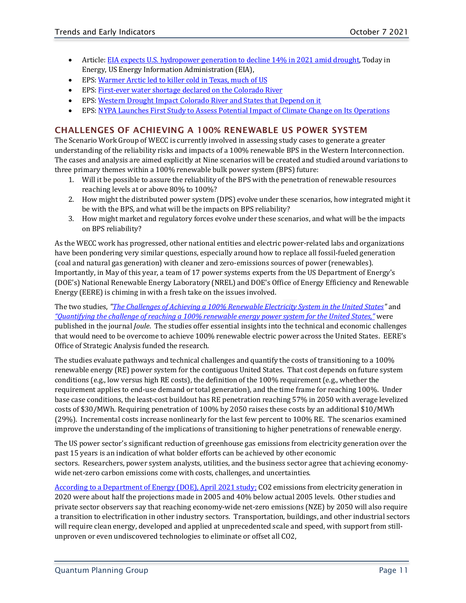- Article[: EIA expects U.S. hydropower generation to decline 14% in 2021 amid drought,](https://www.eia.gov/todayinenergy/detail.php?id=49676&src=email) Today in Energy, US Energy Information Administration (EIA),
- EPS: Warmer Arctic led to [killer cold in Texas, much of US](https://www.wecc.org/SystemAdequacyPlanning/_layouts/15/listform.aspx?PageType=4&ListId=%7B89ACA637%2DB651%2D4815%2DBD86%2DCC41C9EFBB70%7D&ID=983&ContentTypeID=0x0100723A927F419C5D49A20E471A32F3AE89)
- EPS[: First-ever water shortage declared on the Colorado River](https://www.wecc.org/SystemAdequacyPlanning/_layouts/15/listform.aspx?PageType=4&ListId=%7B89ACA637%2DB651%2D4815%2DBD86%2DCC41C9EFBB70%7D&ID=959&ContentTypeID=0x0100723A927F419C5D49A20E471A32F3AE89)
- EPS[: Western Drought Impact Colorado River and States that Depend on it](https://www.wecc.org/SystemAdequacyPlanning/_layouts/15/listform.aspx?PageType=4&ListId=%7B89ACA637%2DB651%2D4815%2DBD86%2DCC41C9EFBB70%7D&ID=975&ContentTypeID=0x0100723A927F419C5D49A20E471A32F3AE89)
- EPS: [NYPA Launches First Study to Assess Potential Impact of Climate Change on Its Operations](https://www.wecc.org/SystemAdequacyPlanning/_layouts/15/listform.aspx?PageType=4&ListId=%7B89ACA637%2DB651%2D4815%2DBD86%2DCC41C9EFBB70%7D&ID=957&ContentTypeID=0x0100723A927F419C5D49A20E471A32F3AE89)

## <span id="page-10-0"></span>CHALLENGES OF ACHIEVING A 100% RENEWABLE US POWER SYSTEM

The Scenario Work Group of WECC is currently involved in assessing study cases to generate a greater understanding of the reliability risks and impacts of a 100% renewable BPS in the Western Interconnection. The cases and analysis are aimed explicitly at Nine scenarios will be created and studied around variations to three primary themes within a 100% renewable bulk power system (BPS) future:

- 1. Will it be possible to assure the reliability of the BPS with the penetration of renewable resources reaching levels at or above 80% to 100%?
- 2. How might the distributed power system (DPS) evolve under these scenarios, how integrated might it be with the BPS, and what will be the impacts on BPS reliability?
- 3. How might market and regulatory forces evolve under these scenarios, and what will be the impacts on BPS reliability?

As the WECC work has progressed, other national entities and electric power-related labs and organizations have been pondering very similar questions, especially around how to replace all fossil-fueled generation (coal and natural gas generation) with cleaner and zero-emissions sources of power (renewables). Importantly, in May of this year, a team of 17 power systems experts from the US Department of Energy's (DOE's) National Renewable Energy Laboratory (NREL) and DOE's Office of Energy Efficiency and Renewable Energy (EERE) is chiming in with a fresh take on the issues involved.

The two studies, *"The Challenges of [Achieving a 100% Renewable Electricity System in the United States"](https://www.sciencedirect.com/science/article/pii/S2542435121001513?dgcid=author)* and *["Quantifying the challenge of reaching a 100% renewable energy power system for the United States,"](https://www.sciencedirect.com/science/article/pii/S2542435121002464)* were published in the journal *Joule*. The studies offer essential insights into the technical and economic challenges that would need to be overcome to achieve 100% renewable electric power across the United States. EERE's Office of Strategic Analysis funded the research.

The studies evaluate pathways and technical challenges and quantify the costs of transitioning to a 100% renewable energy (RE) power system for the contiguous United States. That cost depends on future system conditions (e.g., low versus high RE costs), the definition of the 100% requirement (e.g., whether the requirement applies to end-use demand or total generation), and the time frame for reaching 100%. Under base case conditions, the least-cost buildout has RE penetration reaching 57% in 2050 with average levelized costs of \$30/MWh. Requiring penetration of 100% by 2050 raises these costs by an additional \$10/MWh (29%). Incremental costs increase nonlinearly for the last few percent to 100% RE. The scenarios examined improve the understanding of the implications of transitioning to higher penetrations of renewable energy.

The US power sector's significant reduction of greenhouse gas emissions from electricity generation over the past 15 years is an indication of what bolder efforts can be achieved by other economic sectors. Researchers, power system analysts, utilities, and the business sector agree that achieving economywide net-zero carbon emissions come with costs, challenges, and uncertainties.

[According to a Department of Energy \(DOE\), April 2021 study;](https://eta-publications.lbl.gov/sites/default/files/halfway_to_zero_report.pdf) CO2 emissions from electricity generation in 2020 were about half the projections made in 2005 and 40% below actual 2005 levels. Other studies and private sector observers say that reaching economy-wide net-zero emissions (NZE) by 2050 will also require a transition to electrification in other industry sectors. Transportation, buildings, and other industrial sectors will require clean energy, developed and applied at unprecedented scale and speed, with support from stillunproven or even undiscovered technologies to eliminate or offset all CO2,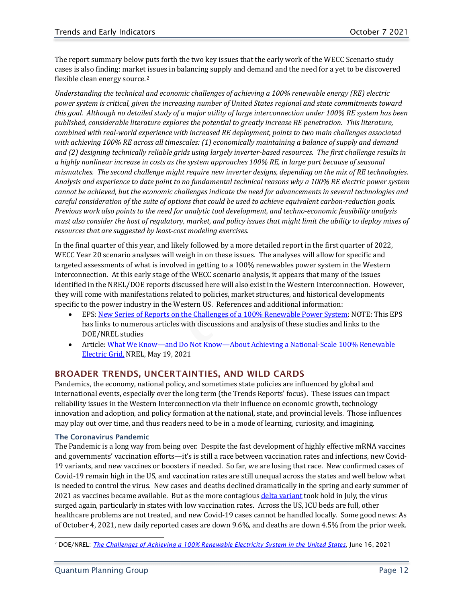The report summary below puts forth the two key issues that the early work of the WECC Scenario study cases is also finding: market [is](#page-11-2)sues in balancing supply and demand and the need for a yet to be discovered flexible clean energy source.<sup>2</sup>

*Understanding the technical and economic challenges of achieving a 100% renewable energy (RE) electric power system is critical, given the increasing number of United States regional and state commitments toward this goal. Although no detailed study of a major utility of large interconnection under 100% RE system has been published, considerable literature explores the potential to greatly increase RE penetration. This literature, combined with real-world experience with increased RE deployment, points to two main challenges associated with achieving 100% RE across all timescales: (1) economically maintaining a balance of supply and demand and (2) designing technically reliable grids using largely inverter-based resources. The first challenge results in a highly nonlinear increase in costs as the system approaches 100% RE, in large part because of seasonal mismatches. The second challenge might require new inverter designs, depending on the mix of RE technologies. Analysis and experience to date point to no fundamental technical reasons why a 100% RE electric power system cannot be achieved, but the economic challenges indicate the need for advancements in several technologies and careful consideration of the suite of options that could be used to achieve equivalent carbon-reduction goals. Previous work also points to the need for analytic tool development, and techno-economic feasibility analysis must also consider the host of regulatory, market, and policy issues that might limit the ability to deploy mixes of resources that are suggested by least-cost modeling exercises.*

In the final quarter of this year, and likely followed by a more detailed report in the first quarter of 2022, WECC Year 20 scenario analyses will weigh in on these issues. The analyses will allow for specific and targeted assessments of what is involved in getting to a 100% renewables power system in the Western Interconnection. At this early stage of the WECC scenario analysis, it appears that many of the issues identified in the NREL/DOE reports discussed here will also exist in the Western Interconnection. However, they will come with manifestations related to policies, market structures, and historical developments specific to the power industry in the Western US. References and additional information:

- EPS[: New Series of Reports on the Challenges of a 100% Renewable Power System:](https://www.wecc.org/SystemAdequacyPlanning/_layouts/15/listform.aspx?PageType=4&ListId=%7B89ACA637%2DB651%2D4815%2DBD86%2DCC41C9EFBB70%7D&ID=949&ContentTypeID=0x0100723A927F419C5D49A20E471A32F3AE89) NOTE: This EPS has links to numerous articles with discussions and analysis of these studies and links to the DOE/NREL studies
- Article: What We Know—and Do Not Know—About Achieving a National-Scale 100% Renewable [Electric Grid,](https://www.nrel.gov/news/features/2021/what-we-know-and-dont-know-about-achieving-a-national-scale-100-renewable-electric-grid.html) NREL, May 19, 2021

## <span id="page-11-0"></span>BROADER TRENDS, UNCERTAINTIES, AND WILD CARDS

Pandemics, the economy, national policy, and sometimes state policies are influenced by global and international events, especially over the long term (the Trends Reports' focus). These issues can impact reliability issues in the Western Interconnection via their influence on economic growth, technology innovation and adoption, and policy formation at the national, state, and provincial levels. Those influences may play out over time, and thus readers need to be in a mode of learning, curiosity, and imagining.

## <span id="page-11-1"></span>The Coronavirus Pandemic

The Pandemic is a long way from being over. Despite the fast development of highly effective mRNA vaccines and governments' vaccination efforts—it's is still a race between vaccination rates and infections, new Covid-19 variants, and new vaccines or boosters if needed. So far, we are losing that race. New confirmed cases of Covid-19 remain high in the US, and vaccination rates are still unequal across the states and well below what is needed to control the virus. New cases and deaths declined dramatically in the spring and early summer of 2021 as vaccines became available. But as the more contagious [delta variant](https://www.washingtonpost.com/health/2021/07/07/delta-variant-covid/) took hold in July, the virus surged again, particularly in states with low vaccination rates. Across the US, ICU beds are full, other healthcare problems are not treated, and new Covid-19 cases cannot be handled locally. Some good news: As of October 4, 2021, new daily reported cases are down 9.6%, and deaths are down 4.5% from the prior week.

<span id="page-11-2"></span><sup>2</sup> DOE/NREL: *[The Challenges of Achieving a 100% Renewable Electricity System in the United States](https://www.sciencedirect.com/science/article/pii/S2542435121001513?dgcid=author)*, June 16, 2021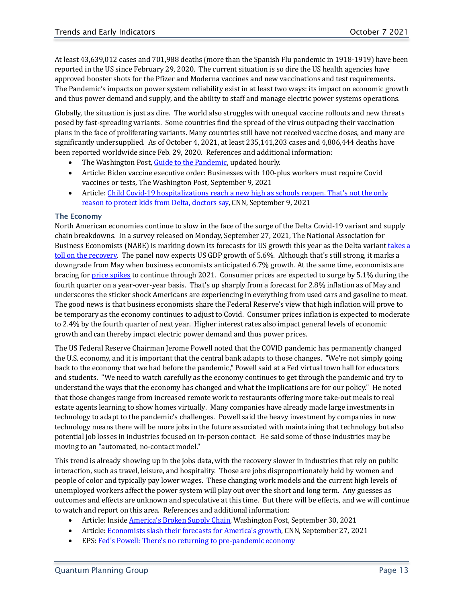At least 43,639,012 cases and 701,988 deaths (more than the Spanish Flu pandemic in 1918-1919) have been reported in the US since February 29, 2020. The current situation is so dire the US health agencies have approved booster shots for the Pfizer and Moderna vaccines and new vaccinations and test requirements. The Pandemic's impacts on power system reliability exist in at least two ways: its impact on economic growth and thus power demand and supply, and the ability to staff and manage electric power systems operations.

Globally, the situation is just as dire. The world also struggles with unequal vaccine rollouts and new threats posed by fast-spreading variants. Some countries find the spread of the virus outpacing their vaccination plans in the face of proliferating variants. Many countries still have not received vaccine doses, and many are significantly undersupplied. As of October 4, 2021, at least 235,141,203 cases and 4,806,444 deaths have been reported worldwide since Feb. 29, 2020. References and additional information:

- The Washington Post[, Guide to the Pandemic,](https://www.washingtonpost.com/coronavirus/) updated hourly.
- Article: Biden vaccine executive order: Businesses with 100-plus workers must require Covid vaccines or tests, The Washington Post, September 9, 2021
- Article[: Child Covid-19 hospitalizations reach a new high as schools reopen. That](https://www.cnn.com/2021/09/08/health/delta-variant-in-kids/index.html)'s not the only [reason to protect kids from Delta, doctors say,](https://www.cnn.com/2021/09/08/health/delta-variant-in-kids/index.html) CNN, September 9, 2021

## <span id="page-12-0"></span>The Economy

North American economies continue to slow in the face of the surge of the Delta Covid-19 variant and supply chain breakdowns. In a survey released on Monday, September 27, 2021, The National Association for Business Economists (NABE) is marking down its forecasts for US growth this year as the Delta variant [takes a](http://www.cnn.com/2021/09/26/investing/stocks-week-ahead/index.html)  [toll on the recovery.](http://www.cnn.com/2021/09/26/investing/stocks-week-ahead/index.html) The panel now expects US GDP growth of 5.6%. Although that's still strong, it marks a downgrade from May when business economists anticipated 6.7% growth. At the same time, economists are bracing for [price spikes](https://www.cnn.com/2021/08/12/investing/premarket-stocks-trading/index.html) to continue through 2021. Consumer prices are expected to surge by 5.1% during the fourth quarter on a year-over-year basis. That's up sharply from a forecast for 2.8% inflation as of May and underscores the sticker shock Americans are experiencing in everything from used cars and gasoline to meat. The good news is that business economists share the Federal Reserve's view that high inflation will prove to be temporary as the economy continues to adjust to Covid. Consumer prices inflation is expected to moderate to 2.4% by the fourth quarter of next year. Higher interest rates also impact general levels of economic growth and can thereby impact electric power demand and thus power prices.

The US Federal Reserve Chairman Jerome Powell noted that the COVID pandemic has permanently changed the U.S. economy, and it is important that the central bank adapts to those changes. "We're not simply going back to the economy that we had before the pandemic," Powell said at a Fed virtual town hall for educators and students. "We need to watch carefully as the economy continues to get through the pandemic and try to understand the ways that the economy has changed and what the implications are for our policy." He noted that those changes range from increased remote work to restaurants offering more take-out meals to real estate agents learning to show homes virtually. Many companies have already made large investments in technology to adapt to the pandemic's challenges. Powell said the heavy investment by companies in new technology means there will be more jobs in the future associated with maintaining that technology but also potential job losses in industries focused on in-person contact. He said some of those industries may be moving to an "automated, no-contact model."

This trend is already showing up in the jobs data, with the recovery slower in industries that rely on public interaction, such as travel, leisure, and hospitality. Those are jobs disproportionately held by women and people of color and typically pay lower wages. These changing work models and the current high levels of unemployed workers affect the power system will play out over the short and long term. Any guesses as outcomes and effects are unknown and speculative at this time. But there will be effects, and we will continue to watch and report on this area. References and additional information:

- Article: Inside America's Broken Supply Chain, Washington Post, September 30, 2021
- Article: Economists slash their forecasts for America's growth, CNN, September 27, 2021
- EPS: Fed['s Powell: There's no returning to pre-pandemic economy](https://www.wecc.org/SystemAdequacyPlanning/_layouts/15/listform.aspx?PageType=4&ListId=%7B89ACA637%2DB651%2D4815%2DBD86%2DCC41C9EFBB70%7D&ID=961&ContentTypeID=0x0100723A927F419C5D49A20E471A32F3AE89)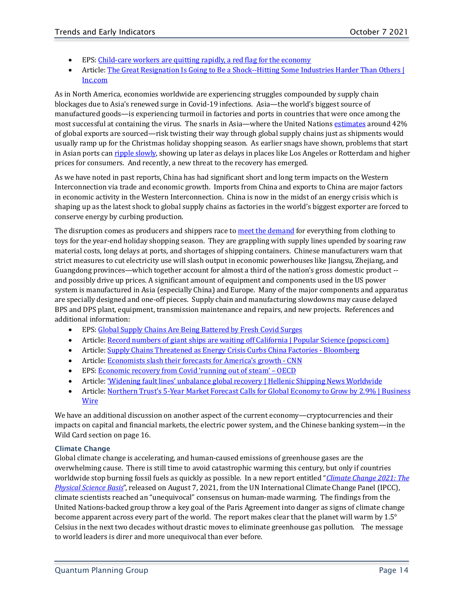- EPS[: Child-care workers are quitting rapidly, a red flag for the economy](https://www.wecc.org/SystemAdequacyPlanning/_layouts/15/listform.aspx?PageType=4&ListId=%7B89ACA637%2DB651%2D4815%2DBD86%2DCC41C9EFBB70%7D&ID=988&ContentTypeID=0x0100723A927F419C5D49A20E471A32F3AE89)
- Article: The Great Resignation Is Going to Be a Shock--Hitting Some Industries Harder Than Others | [Inc.com](https://www.inc.com/rebecca-deczynski/great-resignation-industries-with-most-employees-quitting.html)

As in North America, economies worldwide are experiencing struggles compounded by supply chain blockages due to Asia's renewed surge in Covid-19 infections. Asia—the world's biggest source of manufactured goods—is experiencing turmoil in factories and ports in countries that were once among the most successful at containing the virus. The snarls in Asia—where the United Nations [estimates](https://www.unescap.org/sites/default/d8files/knowledge-products/APTIT%20Trade%20in%20goods_21Dec.pdf) around 42% of global exports are sourced—risk twisting their way through global supply chains just as shipments would usually ramp up for the Christmas holiday shopping season. As earlier snags have shown, problems that start in Asian ports can [ripple slowly,](https://www.bloomberg.com/news/articles/2021-08-12/massive-china-port-shutdown-raises-fears-of-closures-worldwide) showing up later as delays in places like Los Angeles or Rotterdam and higher prices for consumers. And recently, a new threat to the recovery has emerged.

As we have noted in past reports, China has had significant short and long term impacts on the Western Interconnection via trade and economic growth. Imports from China and exports to China are major factors in economic activity in the Western Interconnection. China is now in the midst of an energy crisis which is shaping up as the latest shock to global supply chains as factories in the world's biggest exporter are forced to conserve energy by curbing production.

The disruption comes as producers and shippers race to [meet the demand](https://www.bloomberg.com/news/articles/2021-09-26/from-nairobi-to-ningbo-see-the-supply-shocks-spanning-globe) for everything from clothing to toys for the year-end holiday shopping season. They are grappling with supply lines upended by soaring raw material costs, long delays at ports, and shortages of shipping containers. Chinese manufacturers warn that strict measures to cut electricity use will slash output in economic powerhouses like Jiangsu, Zhejiang, and Guangdong provinces—which together account for almost a third of the nation's gross domestic product - and possibly drive up prices. A significant amount of equipment and components used in the US power system is manufactured in Asia (especially China) and Europe. Many of the major components and apparatus are specially designed and one-off pieces. Supply chain and manufacturing slowdowns may cause delayed BPS and DPS plant, equipment, transmission maintenance and repairs, and new projects. References and additional information:

- EPS[: Global Supply Chains Are Being Battered by Fresh Covid Surges](https://www.wecc.org/SystemAdequacyPlanning/_layouts/15/listform.aspx?PageType=4&ListId=%7B89ACA637%2DB651%2D4815%2DBD86%2DCC41C9EFBB70%7D&ID=958&ContentTypeID=0x0100723A927F419C5D49A20E471A32F3AE89)
- Article[: Record numbers of giant ships are waiting off California | Popular Science \(popsci.com\)](https://www.popsci.com/technology/record-breaking-container-ships-awaiting-entry/)
- Article[: Supply Chains Threatened as Energy Crisis Curbs China Factories -](https://www.bloomberg.com/news/articles/2021-09-27/china-s-electricity-shock-is-latest-supply-chain-threat-to-world) Bloomberg
- Article[: Economists slash their forecasts for America](https://www.cnn.com/2021/09/27/economy/gdp-forecast-nabe/)'s growth CNN
- EPS[: Economic recovery from Covid 'running out of steam' –](https://www.wecc.org/SystemAdequacyPlanning/_layouts/15/listform.aspx?PageType=4&ListId=%7B89ACA637%2DB651%2D4815%2DBD86%2DCC41C9EFBB70%7D&ID=954&ContentTypeID=0x0100723A927F419C5D49A20E471A32F3AE89) OECD
- Article[: 'Widening fault lines' unbalance global recovery | Hellenic Shipping News Worldwide](https://www.hellenicshippingnews.com/widening-fault-lines-unbalance-global-recovery/)
- Article: Northern Trust's 5-Year Market Forecast Calls for Global Economy to Grow by 2.9% | Business **[Wire](https://www.businesswire.com/news/home/20210908005586/en/Northern-Trust%E2%80%99s-5-Year-Market-Forecast-Calls-for-Global-Economy-to-Grow-by-2.9)**

We have an additional discussion on another aspect of the current economy—cryptocurrencies and their impacts on capital and financial markets, the electric power system, and the Chinese banking system—in the Wild Card section on page 16.

## <span id="page-13-0"></span>Climate Change

Global climate change is accelerating, and human-caused emissions of greenhouse gases are the overwhelming cause. There is still time to avoid catastrophic warming this century, but only if countries worldwide stop burning fossil fuels as quickly as possible. In a new report entitled "*Climate Change 2021: The Physical Science Basis*", released on August 7, 2021, from the UN International Climate Change Panel (IPCC), climate scientists reached an "unequivocal" consensus on human-made warming. The findings from the United Nations-backed group throw a key goal of the Paris Agreement into danger as signs of climate change become apparent across every part of the world. The report makes clear that the planet will warm by 1.5° Celsius in the next two decades without drastic moves to eliminate greenhouse gas pollution. The message to world leaders is direr and more unequivocal than ever before.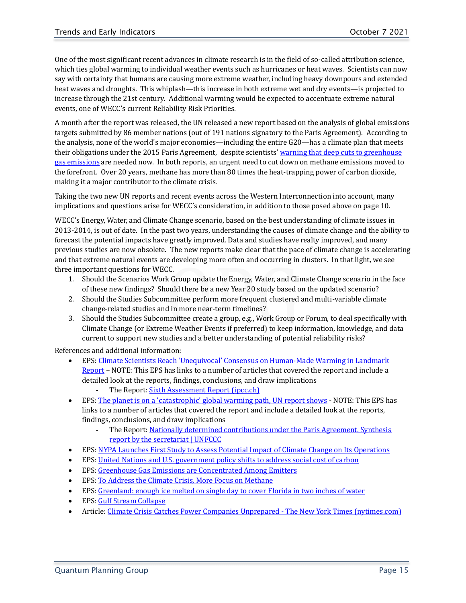One of the most significant recent advances in climate research is in the field of so-called attribution science, which ties global warming to individual weather events such as hurricanes or heat waves. Scientists can now say with certainty that humans are causing more extreme weather, including heavy downpours and extended heat waves and droughts. This whiplash—this increase in both extreme wet and dry events—is projected to increase through the 21st century. Additional warming would be expected to accentuate extreme natural events, one of WECC's current Reliability Risk Priorities.

A month after the report was released, the UN released a new report based on the analysis of global emissions targets submitted by 86 member nations (out of 191 nations signatory to the Paris Agreement). According to the analysis, none of the world's major economies—including the entire G20—has a climate plan that meets their obligations under the 2015 Paris Agreement, despite scientists' [warning that deep cuts to greenhouse](http://www.cnn.com/2021/09/08/us/fossil-fuel-budget-climate-change-study/index.html)  [gas emissions](http://www.cnn.com/2021/09/08/us/fossil-fuel-budget-climate-change-study/index.html) are needed now. In both reports, an urgent need to cut down on methane emissions moved to the forefront. Over 20 years, methane has more than 80 times the heat-trapping power of carbon dioxide, making it a major contributor to the climate crisis.

Taking the two new UN reports and recent events across the Western Interconnection into account, many implications and questions arise for WECC's consideration, in addition to those posed above on page 10.

WECC's Energy, Water, and Climate Change scenario, based on the best understanding of climate issues in 2013-2014, is out of date. In the past two years, understanding the causes of climate change and the ability to forecast the potential impacts have greatly improved. Data and studies have realty improved, and many previous studies are now obsolete. The new reports make clear that the pace of climate change is accelerating and that extreme natural events are developing more often and occurring in clusters. In that light, we see three important questions for WECC.

- 1. Should the Scenarios Work Group update the Energy, Water, and Climate Change scenario in the face of these new findings? Should there be a new Year 20 study based on the updated scenario?
- 2. Should the Studies Subcommittee perform more frequent clustered and multi-variable climate change-related studies and in more near-term timelines?
- 3. Should the Studies Subcommittee create a group, e.g., Work Group or Forum, to deal specifically with Climate Change (or Extreme Weather Events if preferred) to keep information, knowledge, and data current to support new studies and a better understanding of potential reliability risks?

References and additional information:

- EPS[: Climate Scientists Reach 'Unequivocal' Consensus on Human-Made Warming in Landmark](https://www.wecc.org/SystemAdequacyPlanning/_layouts/15/listform.aspx?PageType=4&ListId=%7B89ACA637%2DB651%2D4815%2DBD86%2DCC41C9EFBB70%7D&ID=953&ContentTypeID=0x0100723A927F419C5D49A20E471A32F3AE89)  [Report](https://www.wecc.org/SystemAdequacyPlanning/_layouts/15/listform.aspx?PageType=4&ListId=%7B89ACA637%2DB651%2D4815%2DBD86%2DCC41C9EFBB70%7D&ID=953&ContentTypeID=0x0100723A927F419C5D49A20E471A32F3AE89) – NOTE: This EPS has links to a number of articles that covered the report and include a detailed look at the reports, findings, conclusions, and draw implications - The Report[: Sixth Assessment Report \(ipcc.ch\)](https://www.ipcc.ch/report/ar6/wg1/)
- EPS: The planet is on a ['catastrophic' global warming path, UN report shows](https://www.wecc.org/SystemAdequacyPlanning/_layouts/15/listform.aspx?PageType=4&ListId=%7B89ACA637%2DB651%2D4815%2DBD86%2DCC41C9EFBB70%7D&ID=989&ContentTypeID=0x0100723A927F419C5D49A20E471A32F3AE89) NOTE: This EPS has links to a number of articles that covered the report and include a detailed look at the reports, findings, conclusions, and draw implications
	- The Report: Nationally determined contributions under the Paris Agreement. Synthesis [report by the secretariat | UNFCCC](https://unfccc.int/documents/306848)
- EPS: [NYPA Launches First Study to Assess Potential Impact of Climate Change on Its Operations](https://www.wecc.org/SystemAdequacyPlanning/_layouts/15/listform.aspx?PageType=4&ListId=%7B89ACA637%2DB651%2D4815%2DBD86%2DCC41C9EFBB70%7D&ID=957&ContentTypeID=0x0100723A927F419C5D49A20E471A32F3AE89)
- EPS[: United Nations and U.S. government policy shifts to address social cost of carbon](https://www.wecc.org/SystemAdequacyPlanning/_layouts/15/listform.aspx?PageType=4&ListId=%7B89ACA637%2DB651%2D4815%2DBD86%2DCC41C9EFBB70%7D&ID=967&ContentTypeID=0x0100723A927F419C5D49A20E471A32F3AE89)
- EPS[: Greenhouse Gas Emissions are Concentrated Among Emitters](https://www.wecc.org/SystemAdequacyPlanning/_layouts/15/listform.aspx?PageType=4&ListId=%7B89ACA637%2DB651%2D4815%2DBD86%2DCC41C9EFBB70%7D&ID=964&ContentTypeID=0x0100723A927F419C5D49A20E471A32F3AE89)
- EPS[: To Address the Climate Crisis, More Focus on Methane](https://www.wecc.org/SystemAdequacyPlanning/_layouts/15/listform.aspx?PageType=4&ListId=%7B89ACA637%2DB651%2D4815%2DBD86%2DCC41C9EFBB70%7D&ID=956&ContentTypeID=0x0100723A927F419C5D49A20E471A32F3AE89)
- EPS[: Greenland: enough ice melted on single day to cover Florida in two inches of water](https://www.wecc.org/SystemAdequacyPlanning/_layouts/15/listform.aspx?PageType=4&ListId=%7B89ACA637%2DB651%2D4815%2DBD86%2DCC41C9EFBB70%7D&ID=946&ContentTypeID=0x0100723A927F419C5D49A20E471A32F3AE89)
- EPS[: Gulf Stream Collapse](https://www.wecc.org/SystemAdequacyPlanning/_layouts/15/listform.aspx?PageType=4&ListId=%7B89ACA637%2DB651%2D4815%2DBD86%2DCC41C9EFBB70%7D&ID=944&ContentTypeID=0x0100723A927F419C5D49A20E471A32F3AE89)
- Article[: Climate Crisis Catches Power Companies Unprepared -](https://www.nytimes.com/2021/07/29/climate/electric-utilities-climate-change.html) The New York Times (nytimes.com)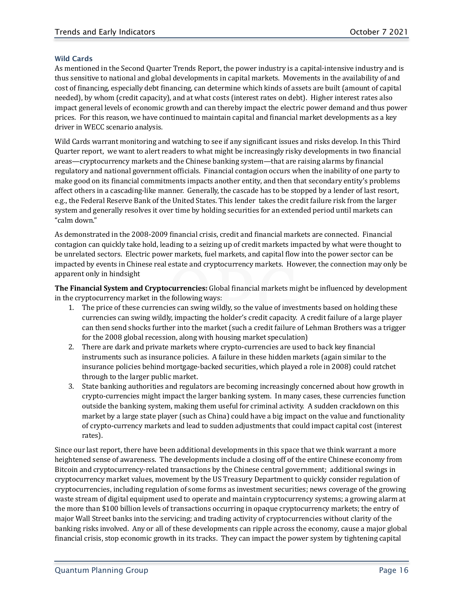#### <span id="page-15-0"></span>Wild Cards

As mentioned in the Second Quarter Trends Report, the power industry is a capital-intensive industry and is thus sensitive to national and global developments in capital markets. Movements in the availability of and cost of financing, especially debt financing, can determine which kinds of assets are built (amount of capital needed), by whom (credit capacity), and at what costs (interest rates on debt). Higher interest rates also impact general levels of economic growth and can thereby impact the electric power demand and thus power prices. For this reason, we have continued to maintain capital and financial market developments as a key driver in WECC scenario analysis.

Wild Cards warrant monitoring and watching to see if any significant issues and risks develop. In this Third Quarter report, we want to alert readers to what might be increasingly risky developments in two financial areas—cryptocurrency markets and the Chinese banking system—that are raising alarms by financial regulatory and national government officials. Financial contagion occurs when the inability of one party to make good on its financial commitments impacts another entity, and then that secondary entity's problems affect others in a cascading-like manner. Generally, the cascade has to be stopped by a lender of last resort, e.g., the Federal Reserve Bank of the United States. This lender takes the credit failure risk from the larger system and generally resolves it over time by holding securities for an extended period until markets can "calm down."

As demonstrated in the 2008-2009 financial crisis, credit and financial markets are connected. Financial contagion can quickly take hold, leading to a seizing up of credit markets impacted by what were thought to be unrelated sectors. Electric power markets, fuel markets, and capital flow into the power sector can be impacted by events in Chinese real estate and cryptocurrency markets. However, the connection may only be apparent only in hindsight

**The Financial System and Cryptocurrencies:** Global financial markets might be influenced by development in the cryptocurrency market in the following ways:

- 1. The price of these currencies can swing wildly, so the value of investments based on holding these currencies can swing wildly, impacting the holder's credit capacity. A credit failure of a large player can then send shocks further into the market (such a credit failure of Lehman Brothers was a trigger for the 2008 global recession, along with housing market speculation)
- 2. There are dark and private markets where crypto-currencies are used to back key financial instruments such as insurance policies. A failure in these hidden markets (again similar to the insurance policies behind mortgage-backed securities, which played a role in 2008) could ratchet through to the larger public market.
- 3. State banking authorities and regulators are becoming increasingly concerned about how growth in crypto-currencies might impact the larger banking system. In many cases, these currencies function outside the banking system, making them useful for criminal activity. A sudden crackdown on this market by a large state player (such as China) could have a big impact on the value and functionality of crypto-currency markets and lead to sudden adjustments that could impact capital cost (interest rates).

Since our last report, there have been additional developments in this space that we think warrant a more heightened sense of awareness. The developments include a closing off of the entire Chinese economy from Bitcoin and cryptocurrency-related transactions by the Chinese central government; additional swings in cryptocurrency market values, movement by the US Treasury Department to quickly consider regulation of cryptocurrencies, including regulation of some forms as investment securities; news coverage of the growing waste stream of digital equipment used to operate and maintain cryptocurrency systems; a growing alarm at the more than \$100 billion levels of transactions occurring in opaque cryptocurrency markets; the entry of major Wall Street banks into the servicing; and trading activity of cryptocurrencies without clarity of the banking risks involved. Any or all of these developments can ripple across the economy, cause a major global financial crisis, stop economic growth in its tracks. They can impact the power system by tightening capital